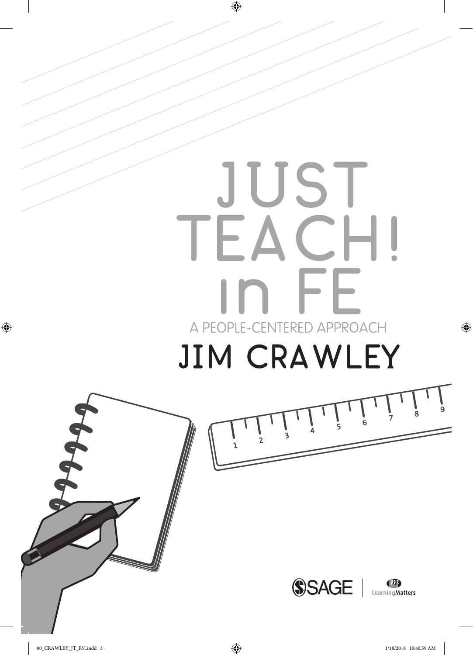# JUST TF, ICI A PEOPLE-CENTERED APPROACH JIM CRAWLEY



 $\bigoplus$ 

 $\bigoplus$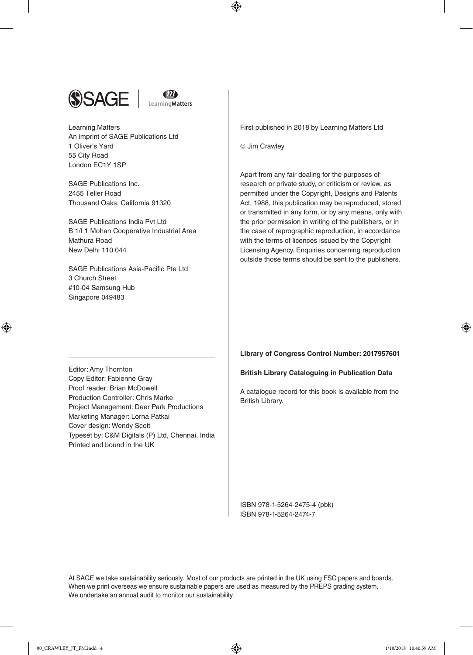



Learning Matters An imprint of SAGE Publications Ltd 1 Oliver's Yard 55 City Road London EC1Y 1SP

SAGE Publications Inc. 2455 Teller Road Thousand Oaks, California 91320

SAGE Publications India Pvt Ltd B 1/I 1 Mohan Cooperative Industrial Area Mathura Road New Delhi 110 044

SAGE Publications Asia-Pacific Pte Ltd 3 Church Street #10-04 Samsung Hub Singapore 049483

First published in 2018 by Learning Matters Ltd

Jim Crawley

 $\bm \Theta$ 

Apart from any fair dealing for the purposes of research or private study, or criticism or review, as permitted under the Copyright, Designs and Patents Act, 1988, this publication may be reproduced, stored or transmitted in any form, or by any means, only with the prior permission in writing of the publishers, or in the case of reprographic reproduction, in accordance with the terms of licences issued by the Copyright Licensing Agency. Enquiries concerning reproduction outside those terms should be sent to the publishers.

Editor: Amy Thornton Copy Editor: Fabienne Gray Proof reader: Brian McDowell Production Controller: Chris Marke Project Management: Deer Park Productions Marketing Manager: Lorna Patkai Cover design: Wendy Scott Typeset by: C&M Digitals (P) Ltd, Chennai, India Printed and bound in the UK

**Library of Congress Control Number: 2017957601**

#### **British Library Cataloguing in Publication Data**

A catalogue record for this book is available from the British Library.

ISBN 978-1-5264-2475-4 (pbk) ISBN 978-1-5264-2474-7

At SAGE we take sustainability seriously. Most of our products are printed in the UK using FSC papers and boards. When we print overseas we ensure sustainable papers are used as measured by the PREPS grading system. We undertake an annual audit to monitor our sustainability.

⊕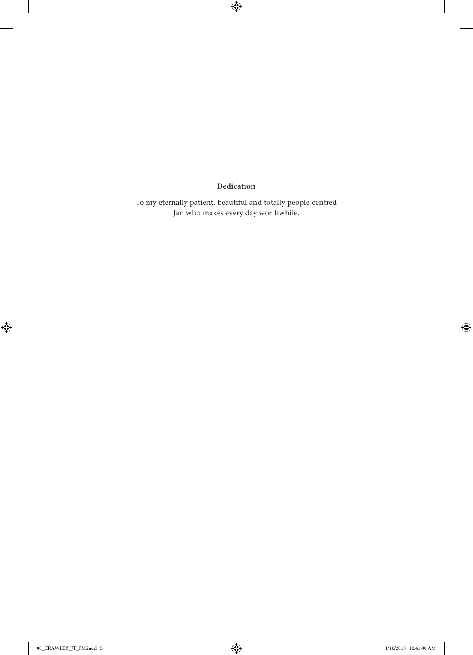# **Dedication**

 $\bigoplus$ 

To my eternally patient, beautiful and totally people-centred Jan who makes every day worthwhile.

 $\bigoplus$ 

 $\overline{\phantom{a}}$ 

 $\bigoplus$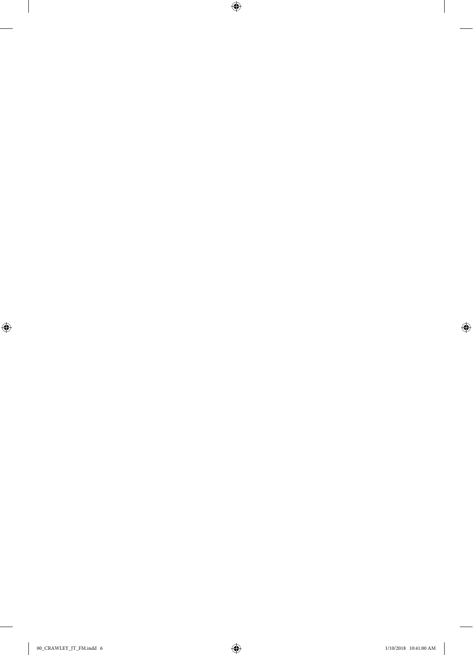

 $\overline{\phantom{a}}$ 

 $\bigoplus$ 

 $\bigoplus$ 

 $\overline{\phantom{a}}$ 

 $\bigoplus$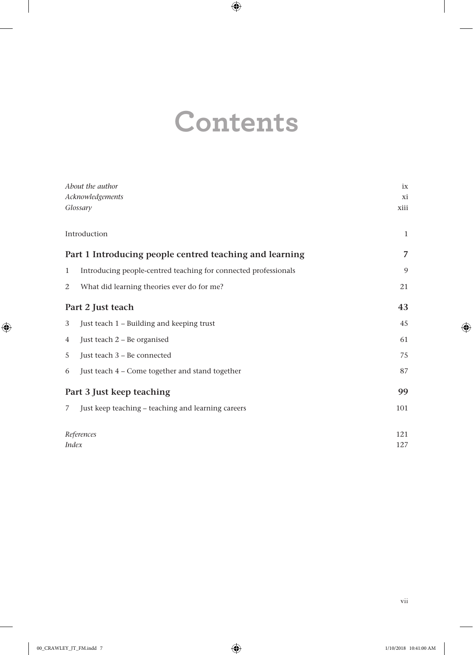# **Contents**

 $\bigoplus$ 

| About the author<br>Acknowledgements<br>Glossary |                                                                 | ix<br>xi<br>xiii |  |                                                         |              |
|--------------------------------------------------|-----------------------------------------------------------------|------------------|--|---------------------------------------------------------|--------------|
|                                                  |                                                                 |                  |  | Introduction                                            | $\mathbf{1}$ |
|                                                  |                                                                 |                  |  | Part 1 Introducing people centred teaching and learning | 7            |
| $\mathbf{1}$                                     | Introducing people-centred teaching for connected professionals | 9                |  |                                                         |              |
| 2                                                | What did learning theories ever do for me?                      | 21               |  |                                                         |              |
| Part 2 Just teach                                |                                                                 | 43               |  |                                                         |              |
| 3                                                | Just teach 1 – Building and keeping trust                       | 45               |  |                                                         |              |
| $\overline{4}$                                   | Just teach 2 – Be organised                                     | 61               |  |                                                         |              |
| 5                                                | Just teach 3 - Be connected                                     | 75               |  |                                                         |              |
| 6                                                | Just teach 4 – Come together and stand together                 | 87               |  |                                                         |              |
| Part 3 Just keep teaching                        |                                                                 | 99               |  |                                                         |              |
| $\overline{7}$                                   | Just keep teaching - teaching and learning careers              | 101              |  |                                                         |              |
|                                                  | References                                                      | 121              |  |                                                         |              |
| <i>Index</i>                                     |                                                                 | 127              |  |                                                         |              |

 $\overline{\phantom{a}}$ 

 $\bigoplus$ 

 $\overline{\phantom{a}}$ 

 $\bigoplus$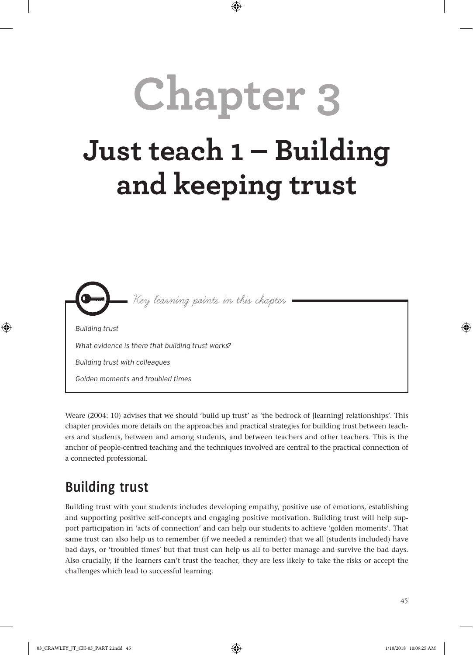# **Chapter 3**

⊕

# **Just teach 1 – Building and keeping trust**



Weare (2004: 10) advises that we should 'build up trust' as 'the bedrock of [learning] relationships'. This chapter provides more details on the approaches and practical strategies for building trust between teachers and students, between and among students, and between teachers and other teachers. This is the anchor of people-centred teaching and the techniques involved are central to the practical connection of a connected professional.

# **Building trust**

⊕

Building trust with your students includes developing empathy, positive use of emotions, establishing and supporting positive self-concepts and engaging positive motivation. Building trust will help support participation in 'acts of connection' and can help our students to achieve 'golden moments'. That same trust can also help us to remember (if we needed a reminder) that we all (students included) have bad days, or 'troubled times' but that trust can help us all to better manage and survive the bad days. Also crucially, if the learners can't trust the teacher, they are less likely to take the risks or accept the challenges which lead to successful learning.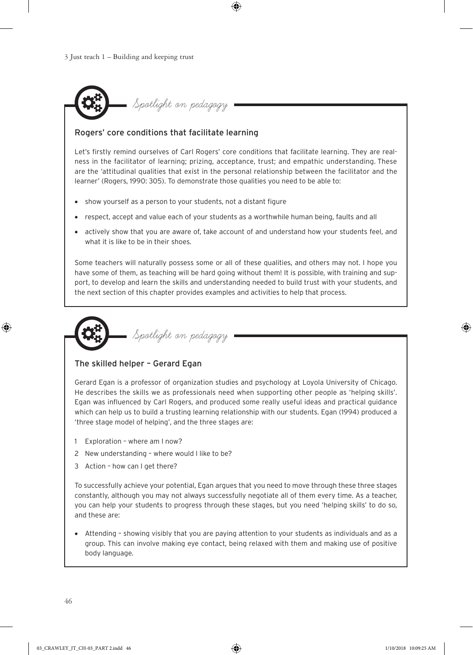

### Rogers' core conditions that facilitate learning

Let's firstly remind ourselves of Carl Rogers' core conditions that facilitate learning. They are realness in the facilitator of learning; prizing, acceptance, trust; and empathic understanding. These are the 'attitudinal qualities that exist in the personal relationship between the facilitator and the learner' (Rogers, 1990: 305). To demonstrate those qualities you need to be able to:

⊕

- show yourself as a person to your students, not a distant figure
- respect, accept and value each of your students as a worthwhile human being, faults and all
- actively show that you are aware of, take account of and understand how your students feel, and what it is like to be in their shoes.

Some teachers will naturally possess some or all of these qualities, and others may not. I hope you have some of them, as teaching will be hard going without them! It is possible, with training and support, to develop and learn the skills and understanding needed to build trust with your students, and the next section of this chapter provides examples and activities to help that process.



⊕

# The skilled helper – Gerard Egan

Gerard Egan is a professor of organization studies and psychology at Loyola University of Chicago. He describes the skills we as professionals need when supporting other people as 'helping skills'. Egan was influenced by Carl Rogers, and produced some really useful ideas and practical guidance which can help us to build a trusting learning relationship with our students. Egan (1994) produced a 'three stage model of helping', and the three stages are:

- 1 Exploration where am I now?
- 2 New understanding where would I like to be?
- 3 Action how can I get there?

To successfully achieve your potential, Egan argues that you need to move through these three stages constantly, although you may not always successfully negotiate all of them every time. As a teacher, you can help your students to progress through these stages, but you need 'helping skills' to do so, and these are:

• Attending – showing visibly that you are paying attention to your students as individuals and as a group. This can involve making eye contact, being relaxed with them and making use of positive body language.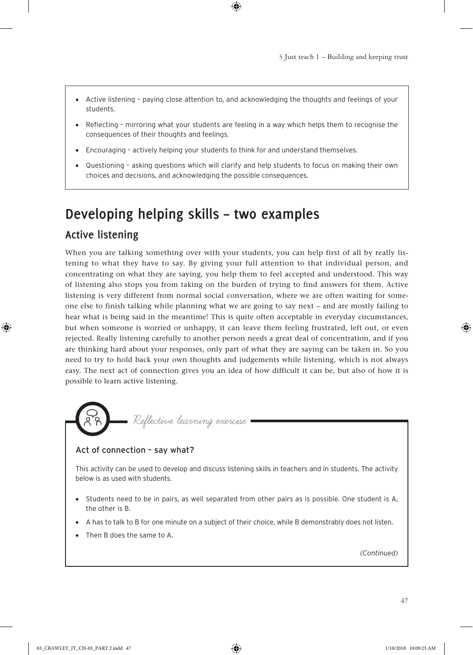• Active listening – paying close attention to, and acknowledging the thoughts and feelings of your students.

⊕

- Reflecting mirroring what your students are feeling in a way which helps them to recognise the consequences of their thoughts and feelings.
- Encouraging actively helping your students to think for and understand themselves.
- Questioning asking questions which will clarify and help students to focus on making their own choices and decisions, and acknowledging the possible consequences.

# **Developing helping skills – two examples**

# **Active listening**

⊕

When you are talking something over with your students, you can help first of all by really listening to what they have to say. By giving your full attention to that individual person, and concentrating on what they are saying, you help them to feel accepted and understood. This way of listening also stops you from taking on the burden of trying to find answers for them. Active listening is very different from normal social conversation, where we are often waiting for someone else to finish talking while planning what we are going to say next – and are mostly failing to hear what is being said in the meantime! This is quite often acceptable in everyday circumstances, but when someone is worried or unhappy, it can leave them feeling frustrated, left out, or even rejected. Really listening carefully to another person needs a great deal of concentration, and if you are thinking hard about your responses, only part of what they are saying can be taken in. So you need to try to hold back your own thoughts and judgements while listening, which is not always easy. The next act of connection gives you an idea of how difficult it can be, but also of how it is possible to learn active listening.



### Act of connection – say what?

This activity can be used to develop and discuss listening skills in teachers and in students. The activity below is as used with students.

- Students need to be in pairs, as well separated from other pairs as is possible. One student is A, the other is B.
- A has to talk to B for one minute on a subject of their choice, while B demonstrably does not listen.
- Then B does the same to A.

*(Continued)*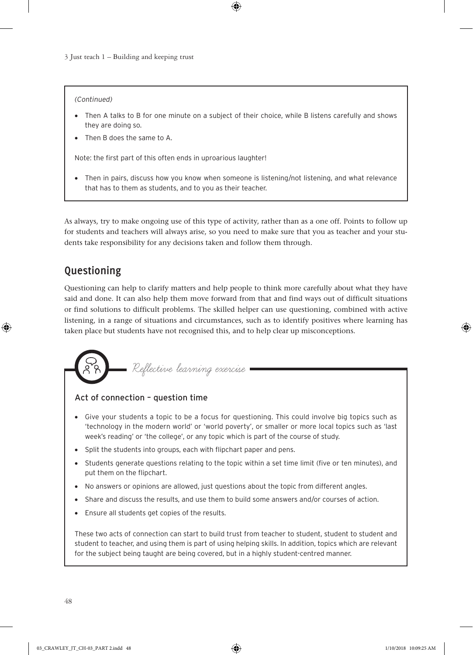#### *(Continued)*

Then A talks to B for one minute on a subject of their choice, while B listens carefully and shows they are doing so.

⊕

Then B does the same to A.

Note: the first part of this often ends in uproarious laughter!

• Then in pairs, discuss how you know when someone is listening/not listening, and what relevance that has to them as students, and to you as their teacher.

As always, try to make ongoing use of this type of activity, rather than as a one off. Points to follow up for students and teachers will always arise, so you need to make sure that you as teacher and your students take responsibility for any decisions taken and follow them through.

# **Questioning**

⊕

Questioning can help to clarify matters and help people to think more carefully about what they have said and done. It can also help them move forward from that and find ways out of difficult situations or find solutions to difficult problems. The skilled helper can use questioning, combined with active listening, in a range of situations and circumstances, such as to identify positives where learning has taken place but students have not recognised this, and to help clear up misconceptions.



Reflective learning exercise

# Act of connection – question time

- Give your students a topic to be a focus for questioning. This could involve big topics such as 'technology in the modern world' or 'world poverty', or smaller or more local topics such as 'last week's reading' or 'the college', or any topic which is part of the course of study.
- Split the students into groups, each with flipchart paper and pens.
- Students generate questions relating to the topic within a set time limit (five or ten minutes), and put them on the flipchart.
- No answers or opinions are allowed, just questions about the topic from different angles.
- Share and discuss the results, and use them to build some answers and/or courses of action.
- Ensure all students get copies of the results.

These two acts of connection can start to build trust from teacher to student, student to student and student to teacher, and using them is part of using helping skills. In addition, topics which are relevant for the subject being taught are being covered, but in a highly student-centred manner.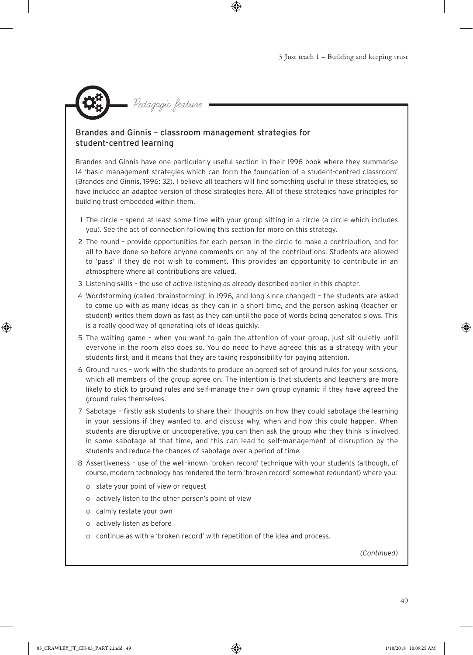

# Brandes and Ginnis – classroom management strategies for student-centred learning

Brandes and Ginnis have one particularly useful section in their 1996 book where they summarise 14 'basic management strategies which can form the foundation of a student-centred classroom' (Brandes and Ginnis, 1996: 32). I believe all teachers will find something useful in these strategies, so have included an adapted version of those strategies here. All of these strategies have principles for building trust embedded within them.

⊕

- 1 The circle spend at least some time with your group sitting in a circle (a circle which includes you). See the act of connection following this section for more on this strategy.
- 2 The round provide opportunities for each person in the circle to make a contribution, and for all to have done so before anyone comments on any of the contributions. Students are allowed to 'pass' if they do not wish to comment. This provides an opportunity to contribute in an atmosphere where all contributions are valued.
- 3 Listening skills the use of active listening as already described earlier in this chapter.
- 4 Wordstorming (called 'brainstorming' in 1996, and long since changed) the students are asked to come up with as many ideas as they can in a short time, and the person asking (teacher or student) writes them down as fast as they can until the pace of words being generated slows. This is a really good way of generating lots of ideas quickly.
- 5 The waiting game when you want to gain the attention of your group, just sit quietly until everyone in the room also does so. You do need to have agreed this as a strategy with your students first, and it means that they are taking responsibility for paying attention.
- 6 Ground rules work with the students to produce an agreed set of ground rules for your sessions, which all members of the group agree on. The intention is that students and teachers are more likely to stick to ground rules and self-manage their own group dynamic if they have agreed the ground rules themselves.
- 7 Sabotage firstly ask students to share their thoughts on how they could sabotage the learning in your sessions if they wanted to, and discuss why, when and how this could happen. When students are disruptive or uncooperative, you can then ask the group who they think is involved in some sabotage at that time, and this can lead to self-management of disruption by the students and reduce the chances of sabotage over a period of time.
- 8 Assertiveness use of the well-known 'broken record' technique with your students (although, of course, modern technology has rendered the term 'broken record' somewhat redundant) where you:
	- { state your point of view or request
	- { actively listen to the other person's point of view
	- { calmly restate your own
	- { actively listen as before
	- $\circ$  continue as with a 'broken record' with repetition of the idea and process.

*(Continued)*

⊕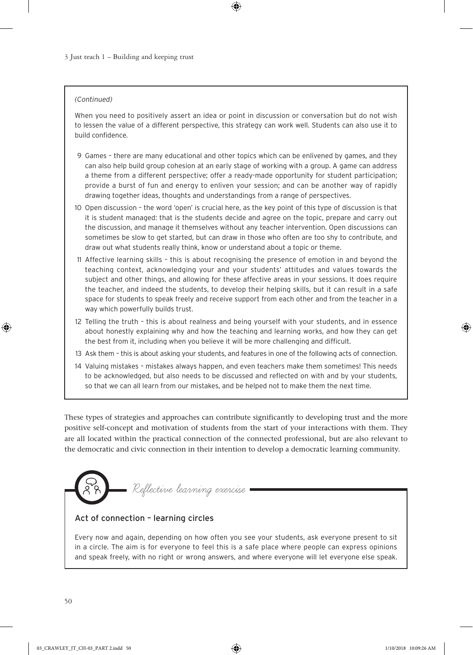#### *(Continued)*

When you need to positively assert an idea or point in discussion or conversation but do not wish to lessen the value of a different perspective, this strategy can work well. Students can also use it to build confidence.

⊕

- 9 Games there are many educational and other topics which can be enlivened by games, and they can also help build group cohesion at an early stage of working with a group. A game can address a theme from a different perspective; offer a ready-made opportunity for student participation; provide a burst of fun and energy to enliven your session; and can be another way of rapidly drawing together ideas, thoughts and understandings from a range of perspectives.
- 10 Open discussion the word 'open' is crucial here, as the key point of this type of discussion is that it is student managed: that is the students decide and agree on the topic, prepare and carry out the discussion, and manage it themselves without any teacher intervention. Open discussions can sometimes be slow to get started, but can draw in those who often are too shy to contribute, and draw out what students really think, know or understand about a topic or theme.
- 11 Affective learning skills this is about recognising the presence of emotion in and beyond the teaching context, acknowledging your and your students' attitudes and values towards the subject and other things, and allowing for these affective areas in your sessions. It does require the teacher, and indeed the students, to develop their helping skills, but it can result in a safe space for students to speak freely and receive support from each other and from the teacher in a way which powerfully builds trust.
- 12 Telling the truth this is about realness and being yourself with your students, and in essence about honestly explaining why and how the teaching and learning works, and how they can get the best from it, including when you believe it will be more challenging and difficult.
- 13 Ask them this is about asking your students, and features in one of the following acts of connection.
- 14 Valuing mistakes mistakes always happen, and even teachers make them sometimes! This needs to be acknowledged, but also needs to be discussed and reflected on with and by your students, so that we can all learn from our mistakes, and be helped not to make them the next time.

These types of strategies and approaches can contribute significantly to developing trust and the more positive self-concept and motivation of students from the start of your interactions with them. They are all located within the practical connection of the connected professional, but are also relevant to the democratic and civic connection in their intention to develop a democratic learning community.



# Act of connection – learning circles

Every now and again, depending on how often you see your students, ask everyone present to sit in a circle. The aim is for everyone to feel this is a safe place where people can express opinions and speak freely, with no right or wrong answers, and where everyone will let everyone else speak.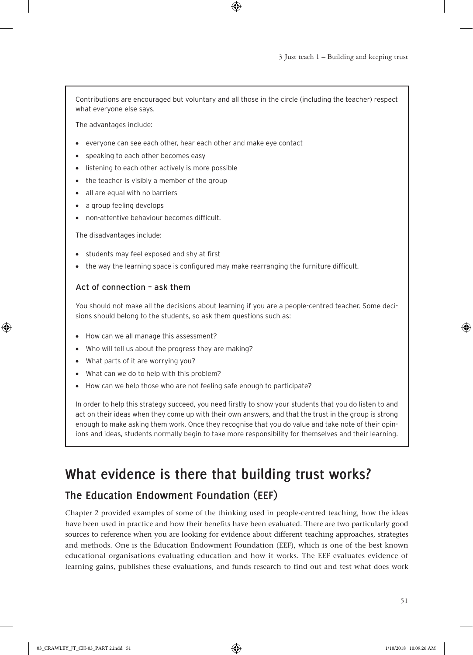Contributions are encouraged but voluntary and all those in the circle (including the teacher) respect what everyone else says.

The advantages include:

- everyone can see each other, hear each other and make eye contact
- speaking to each other becomes easy
- listening to each other actively is more possible
- the teacher is visibly a member of the group
- all are equal with no barriers
- a group feeling develops
- non-attentive behaviour becomes difficult.

The disadvantages include:

⊕

- students may feel exposed and shy at first
- the way the learning space is configured may make rearranging the furniture difficult.

# Act of connection – ask them

You should not make all the decisions about learning if you are a people-centred teacher. Some decisions should belong to the students, so ask them questions such as:

- How can we all manage this assessment?
- Who will tell us about the progress they are making?
- What parts of it are worrying you?
- What can we do to help with this problem?
- How can we help those who are not feeling safe enough to participate?

In order to help this strategy succeed, you need firstly to show your students that you do listen to and act on their ideas when they come up with their own answers, and that the trust in the group is strong enough to make asking them work. Once they recognise that you do value and take note of their opinions and ideas, students normally begin to take more responsibility for themselves and their learning.

# **What evidence is there that building trust works?**

# **The Education Endowment Foundation (EEF)**

Chapter 2 provided examples of some of the thinking used in people-centred teaching, how the ideas have been used in practice and how their benefits have been evaluated. There are two particularly good sources to reference when you are looking for evidence about different teaching approaches, strategies and methods. One is the Education Endowment Foundation (EEF), which is one of the best known educational organisations evaluating education and how it works. The EEF evaluates evidence of learning gains, publishes these evaluations, and funds research to find out and test what does work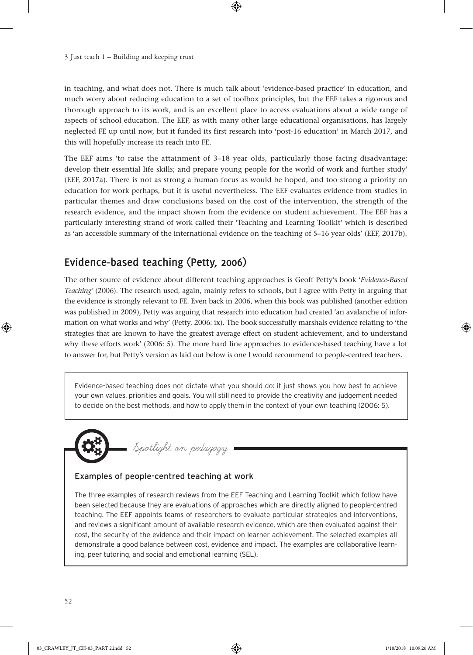in teaching, and what does not. There is much talk about 'evidence-based practice' in education, and much worry about reducing education to a set of toolbox principles, but the EEF takes a rigorous and thorough approach to its work, and is an excellent place to access evaluations about a wide range of aspects of school education. The EEF, as with many other large educational organisations, has largely neglected FE up until now, but it funded its first research into 'post-16 education' in March 2017, and this will hopefully increase its reach into FE.

⊕

The EEF aims 'to raise the attainment of 3–18 year olds, particularly those facing disadvantage; develop their essential life skills; and prepare young people for the world of work and further study' (EEF, 2017a). There is not as strong a human focus as would be hoped, and too strong a priority on education for work perhaps, but it is useful nevertheless. The EEF evaluates evidence from studies in particular themes and draw conclusions based on the cost of the intervention, the strength of the research evidence, and the impact shown from the evidence on student achievement. The EEF has a particularly interesting strand of work called their 'Teaching and Learning Toolkit' which is described as 'an accessible summary of the international evidence on the teaching of 5–16 year olds' (EEF, 2017b).

# **Evidence-based teaching (Petty, 2006)**

The other source of evidence about different teaching approaches is Geoff Petty's book '*Evidence-Based Teaching'* (2006). The research used, again, mainly refers to schools, but I agree with Petty in arguing that the evidence is strongly relevant to FE. Even back in 2006, when this book was published (another edition was published in 2009), Petty was arguing that research into education had created 'an avalanche of information on what works and why' (Petty, 2006: ix). The book successfully marshals evidence relating to 'the strategies that are known to have the greatest average effect on student achievement, and to understand why these efforts work' (2006: 5). The more hard line approaches to evidence-based teaching have a lot to answer for, but Petty's version as laid out below is one I would recommend to people-centred teachers.

Evidence-based teaching does not dictate what you should do: it just shows you how best to achieve your own values, priorities and goals. You will still need to provide the creativity and judgement needed to decide on the best methods, and how to apply them in the context of your own teaching (2006: 5).



⊕

Spotlight on pedagogy

# Examples of people-centred teaching at work

The three examples of research reviews from the EEF Teaching and Learning Toolkit which follow have been selected because they are evaluations of approaches which are directly aligned to people-centred teaching. The EEF appoints teams of researchers to evaluate particular strategies and interventions, and reviews a significant amount of available research evidence, which are then evaluated against their cost, the security of the evidence and their impact on learner achievement. The selected examples all demonstrate a good balance between cost, evidence and impact. The examples are collaborative learning, peer tutoring, and social and emotional learning (SEL).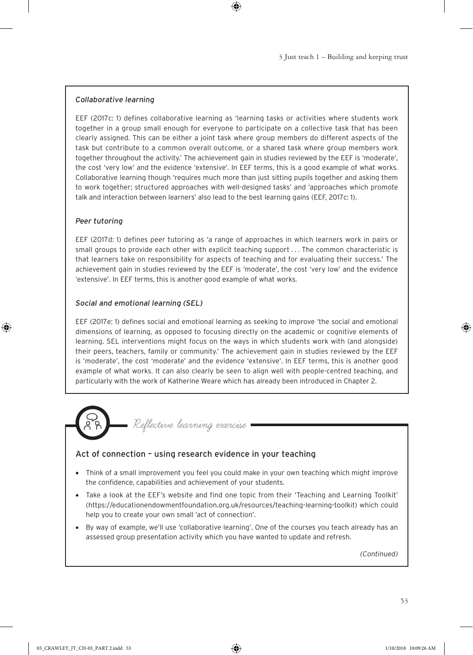#### *Collaborative learning*

EEF (2017c: 1) defines collaborative learning as 'learning tasks or activities where students work together in a group small enough for everyone to participate on a collective task that has been clearly assigned. This can be either a joint task where group members do different aspects of the task but contribute to a common overall outcome, or a shared task where group members work together throughout the activity.' The achievement gain in studies reviewed by the EEF is 'moderate', the cost 'very low' and the evidence 'extensive'. In EEF terms, this is a good example of what works. Collaborative learning though 'requires much more than just sitting pupils together and asking them to work together; structured approaches with well-designed tasks' and 'approaches which promote talk and interaction between learners' also lead to the best learning gains (EEF, 2017c: 1).

 $\textcolor{blue}{\bigcirc}$ 

#### *Peer tutoring*

⊕

EEF (2017d: 1) defines peer tutoring as 'a range of approaches in which learners work in pairs or small groups to provide each other with explicit teaching support . . . The common characteristic is that learners take on responsibility for aspects of teaching and for evaluating their success.' The achievement gain in studies reviewed by the EEF is 'moderate', the cost 'very low' and the evidence 'extensive'. In EEF terms, this is another good example of what works.

#### *Social and emotional learning (SEL)*

EEF (2017e: 1) defines social and emotional learning as seeking to improve 'the social and emotional dimensions of learning, as opposed to focusing directly on the academic or cognitive elements of learning. SEL interventions might focus on the ways in which students work with (and alongside) their peers, teachers, family or community.' The achievement gain in studies reviewed by the EEF is 'moderate', the cost 'moderate' and the evidence 'extensive'. In EEF terms, this is another good example of what works. It can also clearly be seen to align well with people-centred teaching, and particularly with the work of Katherine Weare which has already been introduced in Chapter 2.

Reflective learning exercise

#### Act of connection – using research evidence in your teaching

- Think of a small improvement you feel you could make in your own teaching which might improve the confidence, capabilities and achievement of your students.
- Take a look at the EEF's website and find one topic from their 'Teaching and Learning Toolkit' (https://educationendowmentfoundation.org.uk/resources/teaching-learning-toolkit) which could help you to create your own small 'act of connection'.
- By way of example, we'll use 'collaborative learning'. One of the courses you teach already has an assessed group presentation activity which you have wanted to update and refresh.

*(Continued)*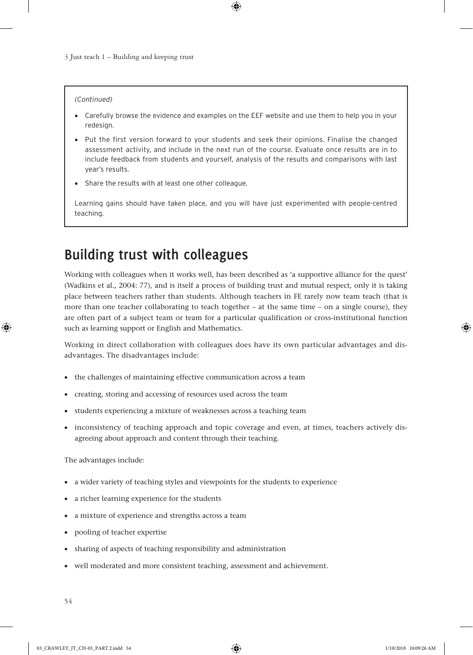#### *(Continued)*

• Carefully browse the evidence and examples on the EEF website and use them to help you in your redesign.

 $\bm \Theta$ 

- Put the first version forward to your students and seek their opinions. Finalise the changed assessment activity, and include in the next run of the course. Evaluate once results are in to include feedback from students and yourself, analysis of the results and comparisons with last year's results.
- Share the results with at least one other colleague.

Learning gains should have taken place, and you will have just experimented with people-centred teaching.

# **Building trust with colleagues**

Working with colleagues when it works well, has been described as 'a supportive alliance for the quest' (Wadkins et al., 2004: 77), and is itself a process of building trust and mutual respect, only it is taking place between teachers rather than students. Although teachers in FE rarely now team teach (that is more than one teacher collaborating to teach together – at the same time – on a single course), they are often part of a subject team or team for a particular qualification or cross-institutional function such as learning support or English and Mathematics.

Working in direct collaboration with colleagues does have its own particular advantages and disadvantages. The disadvantages include:

- the challenges of maintaining effective communication across a team
- creating, storing and accessing of resources used across the team
- students experiencing a mixture of weaknesses across a teaching team
- inconsistency of teaching approach and topic coverage and even, at times, teachers actively disagreeing about approach and content through their teaching.

The advantages include:

- a wider variety of teaching styles and viewpoints for the students to experience
- a richer learning experience for the students
- a mixture of experience and strengths across a team
- pooling of teacher expertise
- sharing of aspects of teaching responsibility and administration
- well moderated and more consistent teaching, assessment and achievement.

54

⊕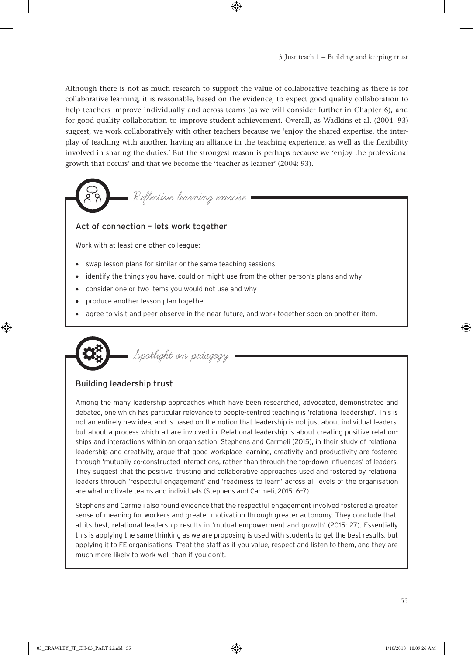Although there is not as much research to support the value of collaborative teaching as there is for collaborative learning, it is reasonable, based on the evidence, to expect good quality collaboration to help teachers improve individually and across teams (as we will consider further in Chapter 6), and for good quality collaboration to improve student achievement. Overall, as Wadkins et al. (2004: 93) suggest, we work collaboratively with other teachers because we 'enjoy the shared expertise, the interplay of teaching with another, having an alliance in the teaching experience, as well as the flexibility involved in sharing the duties.' But the strongest reason is perhaps because we 'enjoy the professional growth that occurs' and that we become the 'teacher as learner' (2004: 93).

⊕



# Act of connection – lets work together

Work with at least one other colleague:

- swap lesson plans for similar or the same teaching sessions
- identify the things you have, could or might use from the other person's plans and why
- consider one or two items you would not use and why
- produce another lesson plan together
- agree to visit and peer observe in the near future, and work together soon on another item.



# Building leadership trust

⊕

Among the many leadership approaches which have been researched, advocated, demonstrated and debated, one which has particular relevance to people-centred teaching is 'relational leadership'. This is not an entirely new idea, and is based on the notion that leadership is not just about individual leaders, but about a process which all are involved in. Relational leadership is about creating positive relationships and interactions within an organisation. Stephens and Carmeli (2015), in their study of relational leadership and creativity, argue that good workplace learning, creativity and productivity are fostered through 'mutually co-constructed interactions, rather than through the top-down influences' of leaders. They suggest that the positive, trusting and collaborative approaches used and fostered by relational leaders through 'respectful engagement' and 'readiness to learn' across all levels of the organisation are what motivate teams and individuals (Stephens and Carmeli, 2015: 6–7).

Stephens and Carmeli also found evidence that the respectful engagement involved fostered a greater sense of meaning for workers and greater motivation through greater autonomy. They conclude that, at its best, relational leadership results in 'mutual empowerment and growth' (2015: 27). Essentially this is applying the same thinking as we are proposing is used with students to get the best results, but applying it to FE organisations. Treat the staff as if you value, respect and listen to them, and they are much more likely to work well than if you don't.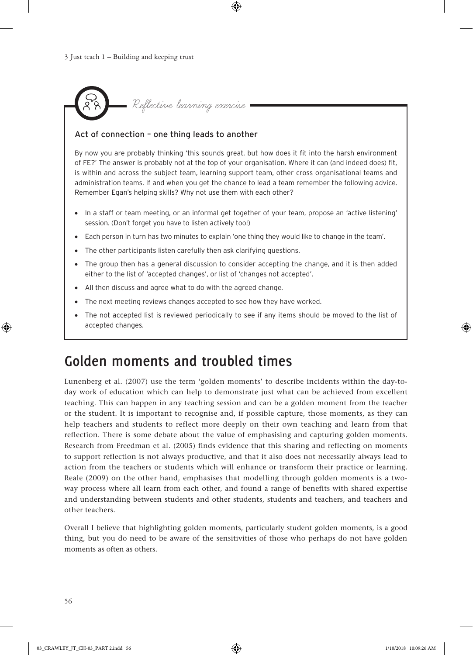

# Act of connection – one thing leads to another

By now you are probably thinking 'this sounds great, but how does it fit into the harsh environment of FE?' The answer is probably not at the top of your organisation. Where it can (and indeed does) fit, is within and across the subject team, learning support team, other cross organisational teams and administration teams. If and when you get the chance to lead a team remember the following advice. Remember Egan's helping skills? Why not use them with each other?

⊕

- In a staff or team meeting, or an informal get together of your team, propose an 'active listening' session. (Don't forget you have to listen actively too!)
- Each person in turn has two minutes to explain 'one thing they would like to change in the team'.
- The other participants listen carefully then ask clarifying questions.
- The group then has a general discussion to consider accepting the change, and it is then added either to the list of 'accepted changes', or list of 'changes not accepted'.
- All then discuss and agree what to do with the agreed change.
- The next meeting reviews changes accepted to see how they have worked.
- The not accepted list is reviewed periodically to see if any items should be moved to the list of accepted changes.

# **Golden moments and troubled times**

Lunenberg et al. (2007) use the term 'golden moments' to describe incidents within the day-today work of education which can help to demonstrate just what can be achieved from excellent teaching. This can happen in any teaching session and can be a golden moment from the teacher or the student. It is important to recognise and, if possible capture, those moments, as they can help teachers and students to reflect more deeply on their own teaching and learn from that reflection. There is some debate about the value of emphasising and capturing golden moments. Research from Freedman et al. (2005) finds evidence that this sharing and reflecting on moments to support reflection is not always productive, and that it also does not necessarily always lead to action from the teachers or students which will enhance or transform their practice or learning. Reale (2009) on the other hand, emphasises that modelling through golden moments is a twoway process where all learn from each other, and found a range of benefits with shared expertise and understanding between students and other students, students and teachers, and teachers and other teachers.

Overall I believe that highlighting golden moments, particularly student golden moments, is a good thing, but you do need to be aware of the sensitivities of those who perhaps do not have golden moments as often as others.

⊕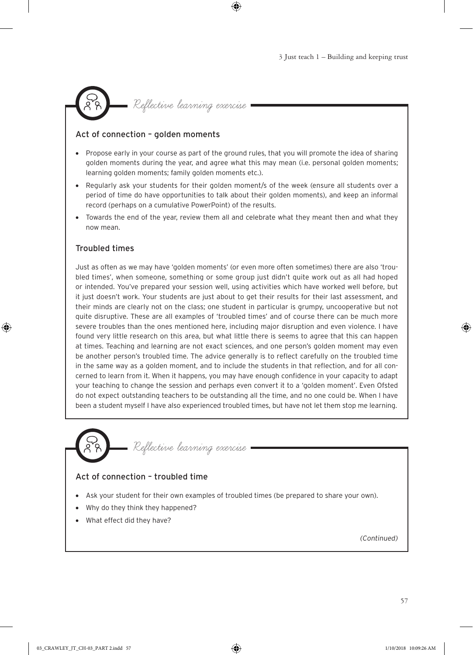

# Act of connection – golden moments

• Propose early in your course as part of the ground rules, that you will promote the idea of sharing golden moments during the year, and agree what this may mean (i.e. personal golden moments; learning golden moments; family golden moments etc.).

⊕

- Regularly ask your students for their golden moment/s of the week (ensure all students over a period of time do have opportunities to talk about their golden moments), and keep an informal record (perhaps on a cumulative PowerPoint) of the results.
- Towards the end of the year, review them all and celebrate what they meant then and what they now mean.

## Troubled times

Just as often as we may have 'golden moments' (or even more often sometimes) there are also 'troubled times', when someone, something or some group just didn't quite work out as all had hoped or intended. You've prepared your session well, using activities which have worked well before, but it just doesn't work. Your students are just about to get their results for their last assessment, and their minds are clearly not on the class; one student in particular is grumpy, uncooperative but not quite disruptive. These are all examples of 'troubled times' and of course there can be much more severe troubles than the ones mentioned here, including major disruption and even violence. I have found very little research on this area, but what little there is seems to agree that this can happen at times. Teaching and learning are not exact sciences, and one person's golden moment may even be another person's troubled time. The advice generally is to reflect carefully on the troubled time in the same way as a golden moment, and to include the students in that reflection, and for all concerned to learn from it. When it happens, you may have enough confidence in your capacity to adapt your teaching to change the session and perhaps even convert it to a 'golden moment'. Even Ofsted do not expect outstanding teachers to be outstanding all the time, and no one could be. When I have been a student myself I have also experienced troubled times, but have not let them stop me learning.



⊕

Reflective learning exercise

# Act of connection – troubled time

- Ask your student for their own examples of troubled times (be prepared to share your own).
- Why do they think they happened?
- What effect did they have?

*(Continued)*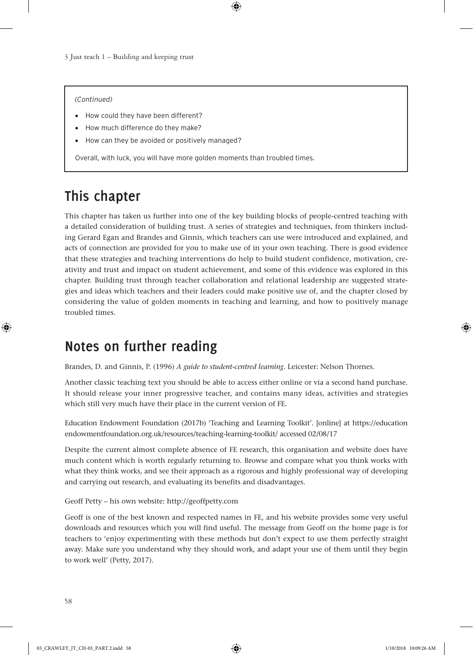#### *(Continued)*

- How could they have been different?
- How much difference do they make?
- How can they be avoided or positively managed?

Overall, with luck, you will have more golden moments than troubled times.

# **This chapter**

This chapter has taken us further into one of the key building blocks of people-centred teaching with a detailed consideration of building trust. A series of strategies and techniques, from thinkers including Gerard Egan and Brandes and Ginnis, which teachers can use were introduced and explained, and acts of connection are provided for you to make use of in your own teaching. There is good evidence that these strategies and teaching interventions do help to build student confidence, motivation, creativity and trust and impact on student achievement, and some of this evidence was explored in this chapter. Building trust through teacher collaboration and relational leadership are suggested strategies and ideas which teachers and their leaders could make positive use of, and the chapter closed by considering the value of golden moments in teaching and learning, and how to positively manage troubled times.

 $\bm \Theta$ 

# **Notes on further reading**

Brandes, D. and Ginnis, P. (1996) *A guide to student-centred learning*. Leicester: Nelson Thornes.

Another classic teaching text you should be able to access either online or via a second hand purchase. It should release your inner progressive teacher, and contains many ideas, activities and strategies which still very much have their place in the current version of FE.

Education Endowment Foundation (2017b) 'Teaching and Learning Toolkit'. [online] at https://education endowmentfoundation.org.uk/resources/teaching-learning-toolkit/ accessed 02/08/17

Despite the current almost complete absence of FE research, this organisation and website does have much content which is worth regularly returning to. Browse and compare what you think works with what they think works, and see their approach as a rigorous and highly professional way of developing and carrying out research, and evaluating its benefits and disadvantages.

Geoff Petty – his own website: http://geoffpetty.com

Geoff is one of the best known and respected names in FE, and his website provides some very useful downloads and resources which you will find useful. The message from Geoff on the home page is for teachers to 'enjoy experimenting with these methods but don't expect to use them perfectly straight away. Make sure you understand why they should work, and adapt your use of them until they begin to work well' (Petty, 2017).

⊕